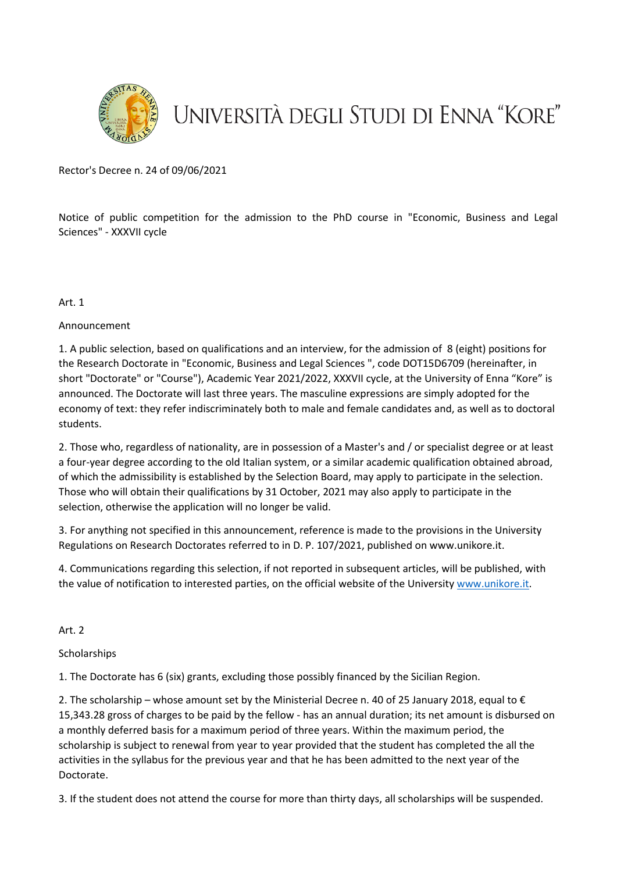

# UNIVERSITÀ DEGLI STUDI DI ENNA "KORE"

Rector's Decree n. 24 of 09/06/2021

Notice of public competition for the admission to the PhD course in "Economic, Business and Legal Sciences" - XXXVII cycle

Art. 1

## Announcement

1. A public selection, based on qualifications and an interview, for the admission of 8 (eight) positions for the Research Doctorate in "Economic, Business and Legal Sciences ", code DOT15D6709 (hereinafter, in short "Doctorate" or "Course"), Academic Year 2021/2022, XXXVII cycle, at the University of Enna "Kore" is announced. The Doctorate will last three years. The masculine expressions are simply adopted for the economy of text: they refer indiscriminately both to male and female candidates and, as well as to doctoral students.

2. Those who, regardless of nationality, are in possession of a Master's and / or specialist degree or at least a four-year degree according to the old Italian system, or a similar academic qualification obtained abroad, of which the admissibility is established by the Selection Board, may apply to participate in the selection. Those who will obtain their qualifications by 31 October, 2021 may also apply to participate in the selection, otherwise the application will no longer be valid.

3. For anything not specified in this announcement, reference is made to the provisions in the University Regulations on Research Doctorates referred to in D. P. 107/2021, published on www.unikore.it.

4. Communications regarding this selection, if not reported in subsequent articles, will be published, with the value of notification to interested parties, on the official website of the University [www.unikore.it.](http://www.unikore.it/)

#### Art. 2

**Scholarships** 

1. The Doctorate has 6 (six) grants, excluding those possibly financed by the Sicilian Region.

2. The scholarship – whose amount set by the Ministerial Decree n. 40 of 25 January 2018, equal to  $\epsilon$ 15,343.28 gross of charges to be paid by the fellow - has an annual duration; its net amount is disbursed on a monthly deferred basis for a maximum period of three years. Within the maximum period, the scholarship is subject to renewal from year to year provided that the student has completed the all the activities in the syllabus for the previous year and that he has been admitted to the next year of the Doctorate.

3. If the student does not attend the course for more than thirty days, all scholarships will be suspended.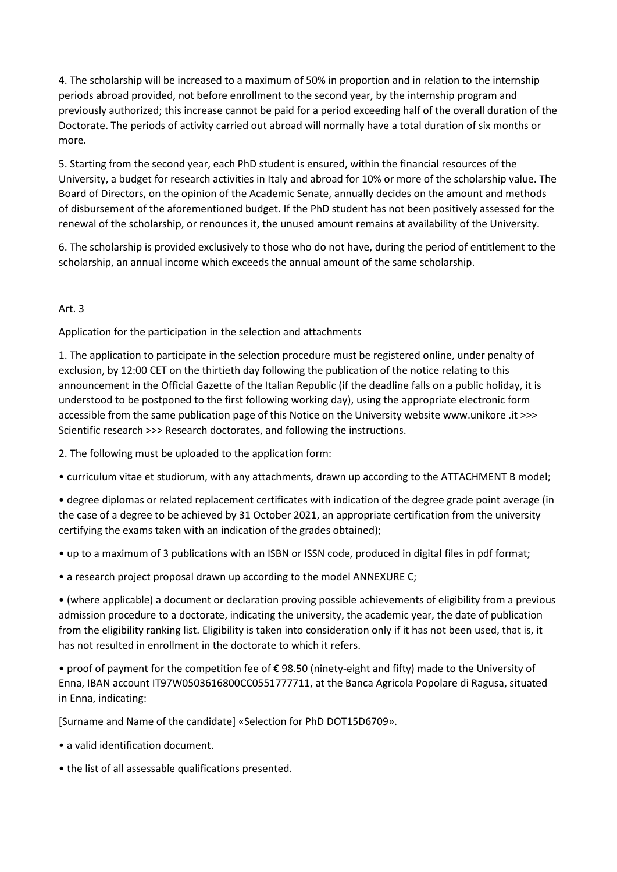4. The scholarship will be increased to a maximum of 50% in proportion and in relation to the internship periods abroad provided, not before enrollment to the second year, by the internship program and previously authorized; this increase cannot be paid for a period exceeding half of the overall duration of the Doctorate. The periods of activity carried out abroad will normally have a total duration of six months or more.

5. Starting from the second year, each PhD student is ensured, within the financial resources of the University, a budget for research activities in Italy and abroad for 10% or more of the scholarship value. The Board of Directors, on the opinion of the Academic Senate, annually decides on the amount and methods of disbursement of the aforementioned budget. If the PhD student has not been positively assessed for the renewal of the scholarship, or renounces it, the unused amount remains at availability of the University.

6. The scholarship is provided exclusively to those who do not have, during the period of entitlement to the scholarship, an annual income which exceeds the annual amount of the same scholarship.

# Art. 3

Application for the participation in the selection and attachments

1. The application to participate in the selection procedure must be registered online, under penalty of exclusion, by 12:00 CET on the thirtieth day following the publication of the notice relating to this announcement in the Official Gazette of the Italian Republic (if the deadline falls on a public holiday, it is understood to be postponed to the first following working day), using the appropriate electronic form accessible from the same publication page of this Notice on the University website www.unikore .it >>> Scientific research >>> Research doctorates, and following the instructions.

2. The following must be uploaded to the application form:

• curriculum vitae et studiorum, with any attachments, drawn up according to the ATTACHMENT B model;

• degree diplomas or related replacement certificates with indication of the degree grade point average (in the case of a degree to be achieved by 31 October 2021, an appropriate certification from the university certifying the exams taken with an indication of the grades obtained);

• up to a maximum of 3 publications with an ISBN or ISSN code, produced in digital files in pdf format;

• a research project proposal drawn up according to the model ANNEXURE C;

• (where applicable) a document or declaration proving possible achievements of eligibility from a previous admission procedure to a doctorate, indicating the university, the academic year, the date of publication from the eligibility ranking list. Eligibility is taken into consideration only if it has not been used, that is, it has not resulted in enrollment in the doctorate to which it refers.

• proof of payment for the competition fee of € 98.50 (ninety-eight and fifty) made to the University of Enna, IBAN account IT97W0503616800CC0551777711, at the Banca Agricola Popolare di Ragusa, situated in Enna, indicating:

[Surname and Name of the candidate] «Selection for PhD DOT15D6709».

• a valid identification document.

• the list of all assessable qualifications presented.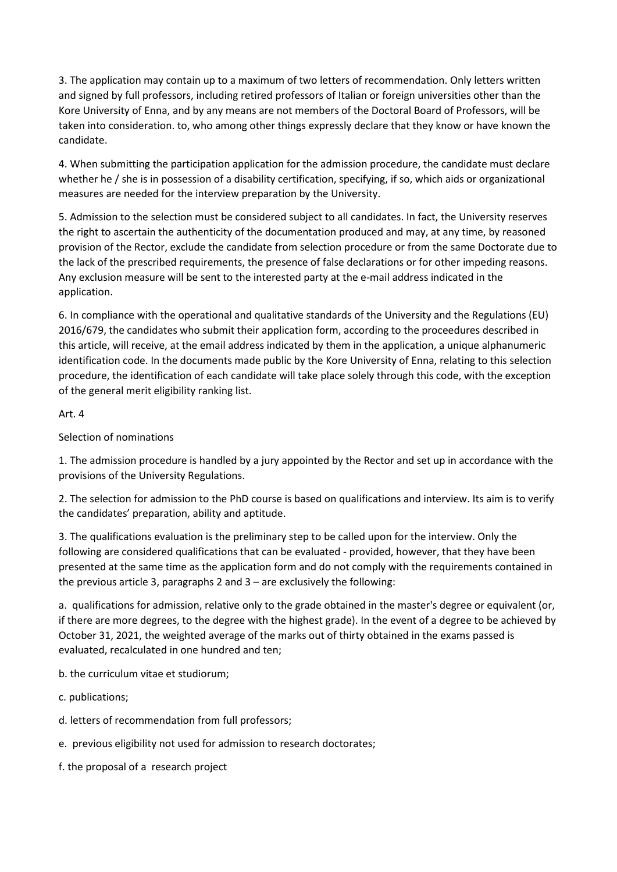3. The application may contain up to a maximum of two letters of recommendation. Only letters written and signed by full professors, including retired professors of Italian or foreign universities other than the Kore University of Enna, and by any means are not members of the Doctoral Board of Professors, will be taken into consideration. to, who among other things expressly declare that they know or have known the candidate.

4. When submitting the participation application for the admission procedure, the candidate must declare whether he / she is in possession of a disability certification, specifying, if so, which aids or organizational measures are needed for the interview preparation by the University.

5. Admission to the selection must be considered subject to all candidates. In fact, the University reserves the right to ascertain the authenticity of the documentation produced and may, at any time, by reasoned provision of the Rector, exclude the candidate from selection procedure or from the same Doctorate due to the lack of the prescribed requirements, the presence of false declarations or for other impeding reasons. Any exclusion measure will be sent to the interested party at the e-mail address indicated in the application.

6. In compliance with the operational and qualitative standards of the University and the Regulations (EU) 2016/679, the candidates who submit their application form, according to the proceedures described in this article, will receive, at the email address indicated by them in the application, a unique alphanumeric identification code. In the documents made public by the Kore University of Enna, relating to this selection procedure, the identification of each candidate will take place solely through this code, with the exception of the general merit eligibility ranking list.

# Art. 4

# Selection of nominations

1. The admission procedure is handled by a jury appointed by the Rector and set up in accordance with the provisions of the University Regulations.

2. The selection for admission to the PhD course is based on qualifications and interview. Its aim is to verify the candidates' preparation, ability and aptitude.

3. The qualifications evaluation is the preliminary step to be called upon for the interview. Only the following are considered qualifications that can be evaluated - provided, however, that they have been presented at the same time as the application form and do not comply with the requirements contained in the previous article 3, paragraphs 2 and 3 – are exclusively the following:

a. qualifications for admission, relative only to the grade obtained in the master's degree or equivalent (or, if there are more degrees, to the degree with the highest grade). In the event of a degree to be achieved by October 31, 2021, the weighted average of the marks out of thirty obtained in the exams passed is evaluated, recalculated in one hundred and ten;

b. the curriculum vitae et studiorum;

- c. publications;
- d. letters of recommendation from full professors;
- e. previous eligibility not used for admission to research doctorates;
- f. the proposal of a research project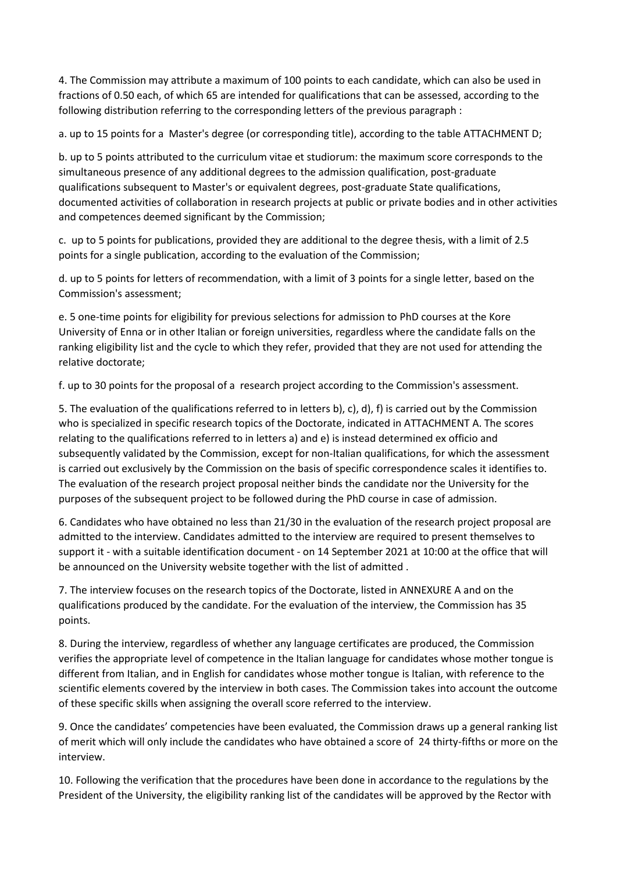4. The Commission may attribute a maximum of 100 points to each candidate, which can also be used in fractions of 0.50 each, of which 65 are intended for qualifications that can be assessed, according to the following distribution referring to the corresponding letters of the previous paragraph :

a. up to 15 points for a Master's degree (or corresponding title), according to the table ATTACHMENT D;

b. up to 5 points attributed to the curriculum vitae et studiorum: the maximum score corresponds to the simultaneous presence of any additional degrees to the admission qualification, post-graduate qualifications subsequent to Master's or equivalent degrees, post-graduate State qualifications, documented activities of collaboration in research projects at public or private bodies and in other activities and competences deemed significant by the Commission;

c. up to 5 points for publications, provided they are additional to the degree thesis, with a limit of 2.5 points for a single publication, according to the evaluation of the Commission;

d. up to 5 points for letters of recommendation, with a limit of 3 points for a single letter, based on the Commission's assessment;

e. 5 one-time points for eligibility for previous selections for admission to PhD courses at the Kore University of Enna or in other Italian or foreign universities, regardless where the candidate falls on the ranking eligibility list and the cycle to which they refer, provided that they are not used for attending the relative doctorate;

f. up to 30 points for the proposal of a research project according to the Commission's assessment.

5. The evaluation of the qualifications referred to in letters b), c), d), f) is carried out by the Commission who is specialized in specific research topics of the Doctorate, indicated in ATTACHMENT A. The scores relating to the qualifications referred to in letters a) and e) is instead determined ex officio and subsequently validated by the Commission, except for non-Italian qualifications, for which the assessment is carried out exclusively by the Commission on the basis of specific correspondence scales it identifies to. The evaluation of the research project proposal neither binds the candidate nor the University for the purposes of the subsequent project to be followed during the PhD course in case of admission.

6. Candidates who have obtained no less than 21/30 in the evaluation of the research project proposal are admitted to the interview. Candidates admitted to the interview are required to present themselves to support it - with a suitable identification document - on 14 September 2021 at 10:00 at the office that will be announced on the University website together with the list of admitted .

7. The interview focuses on the research topics of the Doctorate, listed in ANNEXURE A and on the qualifications produced by the candidate. For the evaluation of the interview, the Commission has 35 points.

8. During the interview, regardless of whether any language certificates are produced, the Commission verifies the appropriate level of competence in the Italian language for candidates whose mother tongue is different from Italian, and in English for candidates whose mother tongue is Italian, with reference to the scientific elements covered by the interview in both cases. The Commission takes into account the outcome of these specific skills when assigning the overall score referred to the interview.

9. Once the candidates' competencies have been evaluated, the Commission draws up a general ranking list of merit which will only include the candidates who have obtained a score of 24 thirty-fifths or more on the interview.

10. Following the verification that the procedures have been done in accordance to the regulations by the President of the University, the eligibility ranking list of the candidates will be approved by the Rector with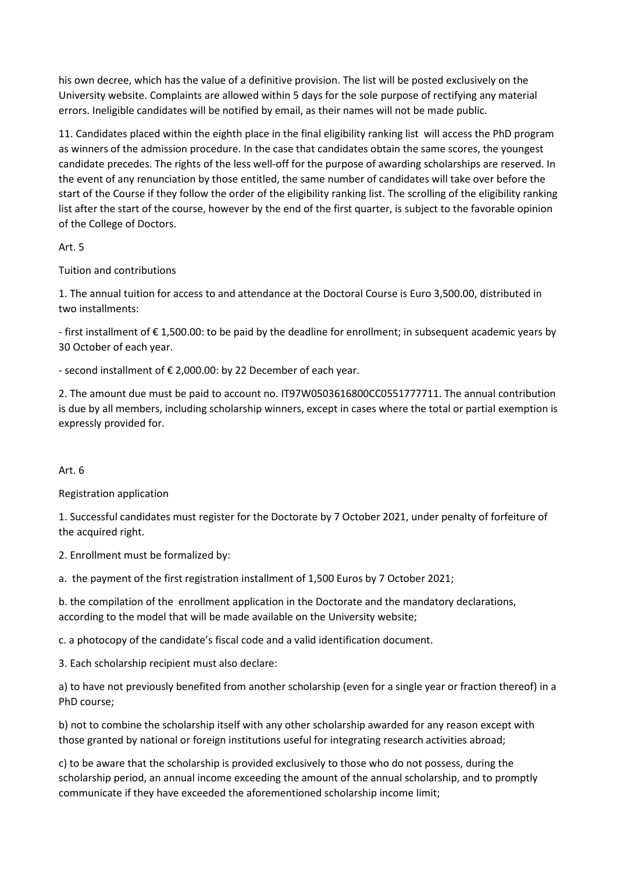his own decree, which has the value of a definitive provision. The list will be posted exclusively on the University website. Complaints are allowed within 5 days for the sole purpose of rectifying any material errors. Ineligible candidates will be notified by email, as their names will not be made public.

11. Candidates placed within the eighth place in the final eligibility ranking list will access the PhD program as winners of the admission procedure. In the case that candidates obtain the same scores, the youngest candidate precedes. The rights of the less well-off for the purpose of awarding scholarships are reserved. In the event of any renunciation by those entitled, the same number of candidates will take over before the start of the Course if they follow the order of the eligibility ranking list. The scrolling of the eligibility ranking list after the start of the course, however by the end of the first quarter, is subject to the favorable opinion of the College of Doctors.

# Art. 5

Tuition and contributions

1. The annual tuition for access to and attendance at the Doctoral Course is Euro 3,500.00, distributed in two installments:

- first installment of € 1,500.00: to be paid by the deadline for enrollment; in subsequent academic years by 30 October of each year.

- second installment of € 2,000.00: by 22 December of each year.

2. The amount due must be paid to account no. IT97W0503616800CC0551777711. The annual contribution is due by all members, including scholarship winners, except in cases where the total or partial exemption is expressly provided for.

# Art. 6

Registration application

1. Successful candidates must register for the Doctorate by 7 October 2021, under penalty of forfeiture of the acquired right.

2. Enrollment must be formalized by:

a. the payment of the first registration installment of 1,500 Euros by 7 October 2021;

b. the compilation of the enrollment application in the Doctorate and the mandatory declarations, according to the model that will be made available on the University website;

c. a photocopy of the candidate's fiscal code and a valid identification document.

3. Each scholarship recipient must also declare:

a) to have not previously benefited from another scholarship (even for a single year or fraction thereof) in a PhD course;

b) not to combine the scholarship itself with any other scholarship awarded for any reason except with those granted by national or foreign institutions useful for integrating research activities abroad;

c) to be aware that the scholarship is provided exclusively to those who do not possess, during the scholarship period, an annual income exceeding the amount of the annual scholarship, and to promptly communicate if they have exceeded the aforementioned scholarship income limit;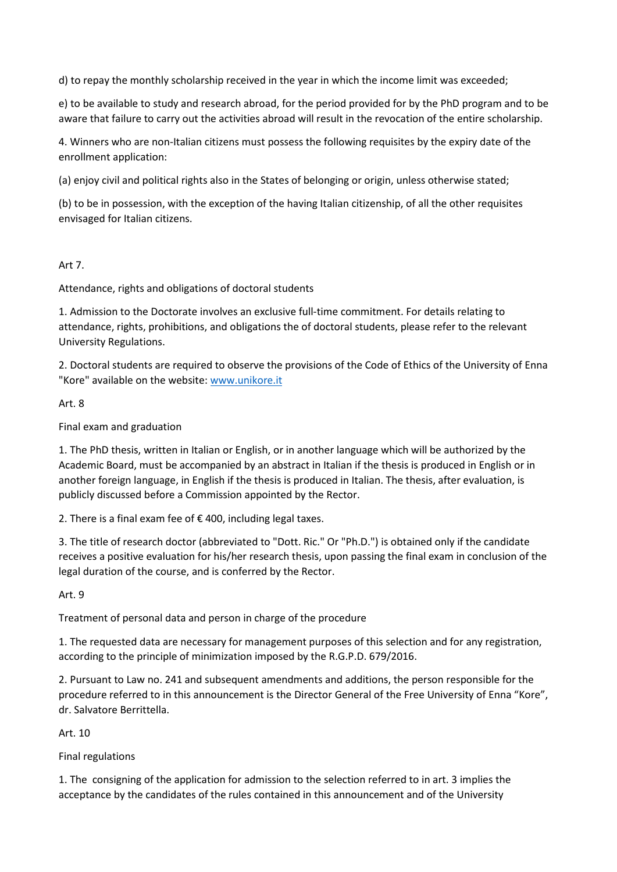d) to repay the monthly scholarship received in the year in which the income limit was exceeded;

e) to be available to study and research abroad, for the period provided for by the PhD program and to be aware that failure to carry out the activities abroad will result in the revocation of the entire scholarship.

4. Winners who are non-Italian citizens must possess the following requisites by the expiry date of the enrollment application:

(a) enjoy civil and political rights also in the States of belonging or origin, unless otherwise stated;

(b) to be in possession, with the exception of the having Italian citizenship, of all the other requisites envisaged for Italian citizens.

## Art 7.

Attendance, rights and obligations of doctoral students

1. Admission to the Doctorate involves an exclusive full-time commitment. For details relating to attendance, rights, prohibitions, and obligations the of doctoral students, please refer to the relevant University Regulations.

2. Doctoral students are required to observe the provisions of the Code of Ethics of the University of Enna "Kore" available on the website: [www.unikore.it](http://www.unikore.it/)

Art. 8

Final exam and graduation

1. The PhD thesis, written in Italian or English, or in another language which will be authorized by the Academic Board, must be accompanied by an abstract in Italian if the thesis is produced in English or in another foreign language, in English if the thesis is produced in Italian. The thesis, after evaluation, is publicly discussed before a Commission appointed by the Rector.

2. There is a final exam fee of € 400, including legal taxes.

3. The title of research doctor (abbreviated to "Dott. Ric." Or "Ph.D.") is obtained only if the candidate receives a positive evaluation for his/her research thesis, upon passing the final exam in conclusion of the legal duration of the course, and is conferred by the Rector.

Art. 9

Treatment of personal data and person in charge of the procedure

1. The requested data are necessary for management purposes of this selection and for any registration, according to the principle of minimization imposed by the R.G.P.D. 679/2016.

2. Pursuant to Law no. 241 and subsequent amendments and additions, the person responsible for the procedure referred to in this announcement is the Director General of the Free University of Enna "Kore", dr. Salvatore Berrittella.

Art. 10

Final regulations

1. The consigning of the application for admission to the selection referred to in art. 3 implies the acceptance by the candidates of the rules contained in this announcement and of the University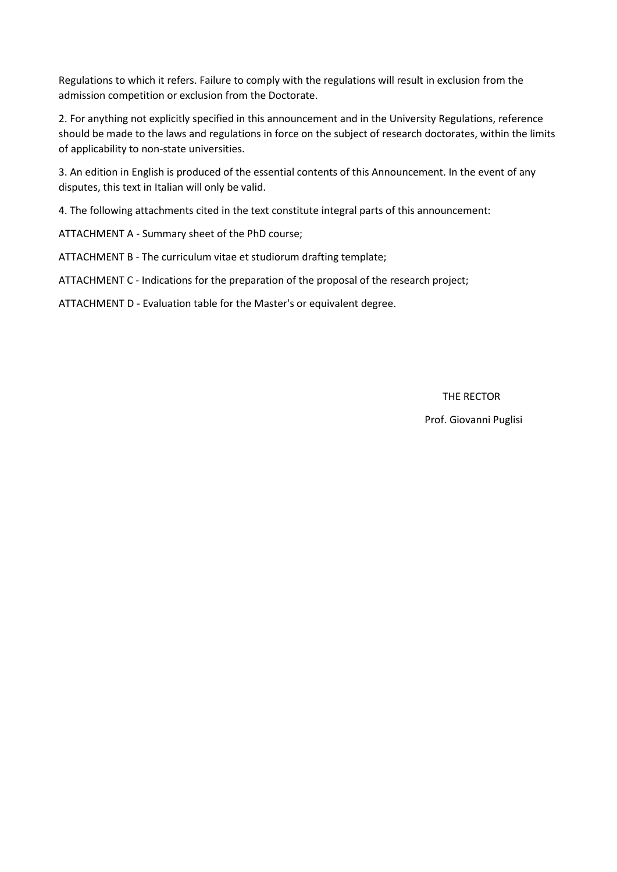Regulations to which it refers. Failure to comply with the regulations will result in exclusion from the admission competition or exclusion from the Doctorate.

2. For anything not explicitly specified in this announcement and in the University Regulations, reference should be made to the laws and regulations in force on the subject of research doctorates, within the limits of applicability to non-state universities.

3. An edition in English is produced of the essential contents of this Announcement. In the event of any disputes, this text in Italian will only be valid.

4. The following attachments cited in the text constitute integral parts of this announcement:

ATTACHMENT A - Summary sheet of the PhD course;

ATTACHMENT B - The curriculum vitae et studiorum drafting template;

ATTACHMENT C - Indications for the preparation of the proposal of the research project;

ATTACHMENT D - Evaluation table for the Master's or equivalent degree.

THE RECTOR

Prof. Giovanni Puglisi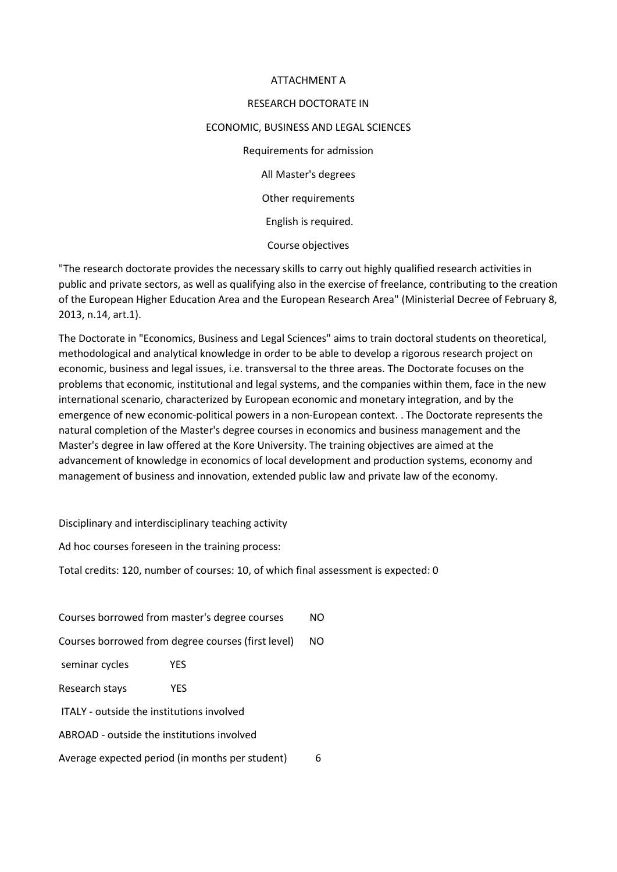#### ATTACHMENT A

#### RESEARCH DOCTORATE IN

#### ECONOMIC, BUSINESS AND LEGAL SCIENCES

Requirements for admission All Master's degrees Other requirements English is required. Course objectives

"The research doctorate provides the necessary skills to carry out highly qualified research activities in public and private sectors, as well as qualifying also in the exercise of freelance, contributing to the creation of the European Higher Education Area and the European Research Area" (Ministerial Decree of February 8, 2013, n.14, art.1).

The Doctorate in "Economics, Business and Legal Sciences" aims to train doctoral students on theoretical, methodological and analytical knowledge in order to be able to develop a rigorous research project on economic, business and legal issues, i.e. transversal to the three areas. The Doctorate focuses on the problems that economic, institutional and legal systems, and the companies within them, face in the new international scenario, characterized by European economic and monetary integration, and by the emergence of new economic-political powers in a non-European context. . The Doctorate represents the natural completion of the Master's degree courses in economics and business management and the Master's degree in law offered at the Kore University. The training objectives are aimed at the advancement of knowledge in economics of local development and production systems, economy and management of business and innovation, extended public law and private law of the economy.

Disciplinary and interdisciplinary teaching activity

Ad hoc courses foreseen in the training process:

Total credits: 120, number of courses: 10, of which final assessment is expected: 0

| Courses borrowed from master's degree courses        |     |  |  |  |
|------------------------------------------------------|-----|--|--|--|
| Courses borrowed from degree courses (first level)   |     |  |  |  |
| seminar cycles                                       | YFS |  |  |  |
| Research stays                                       | YFS |  |  |  |
| ITALY - outside the institutions involved            |     |  |  |  |
| ABROAD - outside the institutions involved           |     |  |  |  |
| Average expected period (in months per student)<br>6 |     |  |  |  |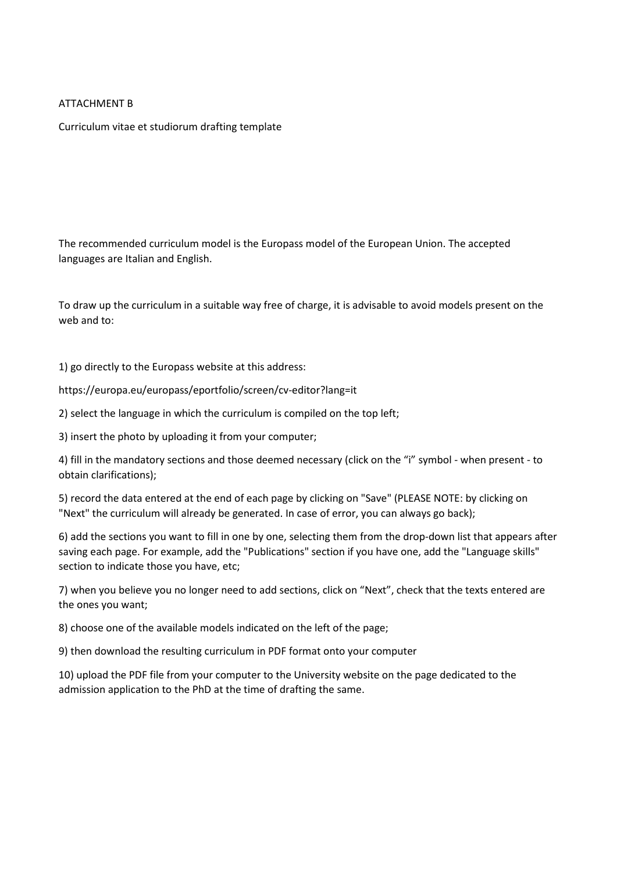## ATTACHMENT B

Curriculum vitae et studiorum drafting template

The recommended curriculum model is the Europass model of the European Union. The accepted languages are Italian and English.

To draw up the curriculum in a suitable way free of charge, it is advisable to avoid models present on the web and to:

1) go directly to the Europass website at this address:

https://europa.eu/europass/eportfolio/screen/cv-editor?lang=it

2) select the language in which the curriculum is compiled on the top left;

3) insert the photo by uploading it from your computer;

4) fill in the mandatory sections and those deemed necessary (click on the "i" symbol - when present - to obtain clarifications);

5) record the data entered at the end of each page by clicking on "Save" (PLEASE NOTE: by clicking on "Next" the curriculum will already be generated. In case of error, you can always go back);

6) add the sections you want to fill in one by one, selecting them from the drop-down list that appears after saving each page. For example, add the "Publications" section if you have one, add the "Language skills" section to indicate those you have, etc;

7) when you believe you no longer need to add sections, click on "Next", check that the texts entered are the ones you want;

8) choose one of the available models indicated on the left of the page;

9) then download the resulting curriculum in PDF format onto your computer

10) upload the PDF file from your computer to the University website on the page dedicated to the admission application to the PhD at the time of drafting the same.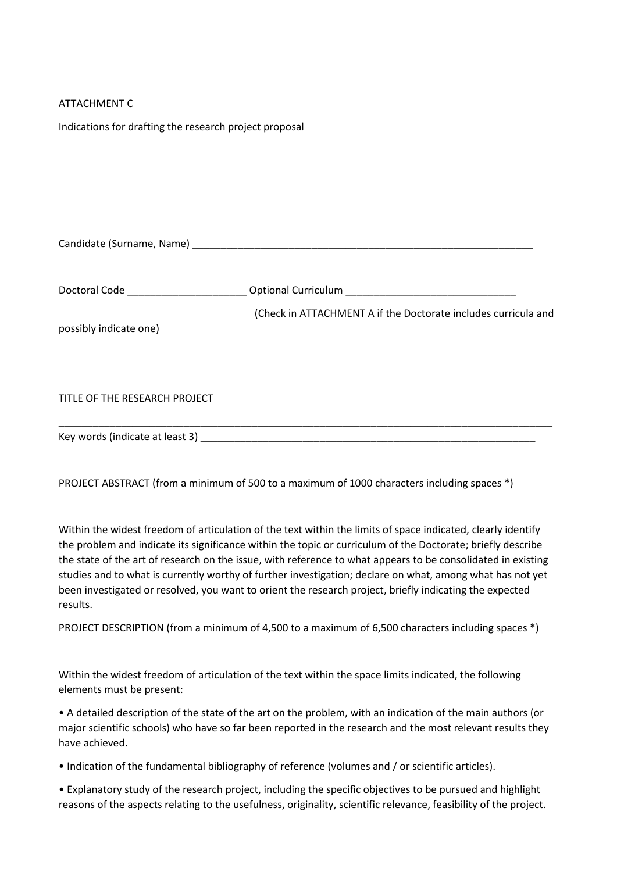## ATTACHMENT C

Indications for drafting the research project proposal

Key words (indicate at least 3) \_\_\_\_\_\_\_\_\_\_\_\_\_\_\_\_\_\_\_\_\_\_\_\_\_\_\_\_\_\_\_\_\_\_\_\_\_\_\_\_\_\_\_\_\_\_\_\_\_\_\_\_\_\_\_\_\_\_\_

| Doctoral Code ________________________ |                                                                |
|----------------------------------------|----------------------------------------------------------------|
| possibly indicate one)                 | (Check in ATTACHMENT A if the Doctorate includes curricula and |
| TITLE OF THE RESEARCH PROJECT          |                                                                |

PROJECT ABSTRACT (from a minimum of 500 to a maximum of 1000 characters including spaces \*)

Within the widest freedom of articulation of the text within the limits of space indicated, clearly identify the problem and indicate its significance within the topic or curriculum of the Doctorate; briefly describe the state of the art of research on the issue, with reference to what appears to be consolidated in existing studies and to what is currently worthy of further investigation; declare on what, among what has not yet been investigated or resolved, you want to orient the research project, briefly indicating the expected results.

PROJECT DESCRIPTION (from a minimum of 4,500 to a maximum of 6,500 characters including spaces \*)

Within the widest freedom of articulation of the text within the space limits indicated, the following elements must be present:

• A detailed description of the state of the art on the problem, with an indication of the main authors (or major scientific schools) who have so far been reported in the research and the most relevant results they have achieved.

• Indication of the fundamental bibliography of reference (volumes and / or scientific articles).

• Explanatory study of the research project, including the specific objectives to be pursued and highlight reasons of the aspects relating to the usefulness, originality, scientific relevance, feasibility of the project.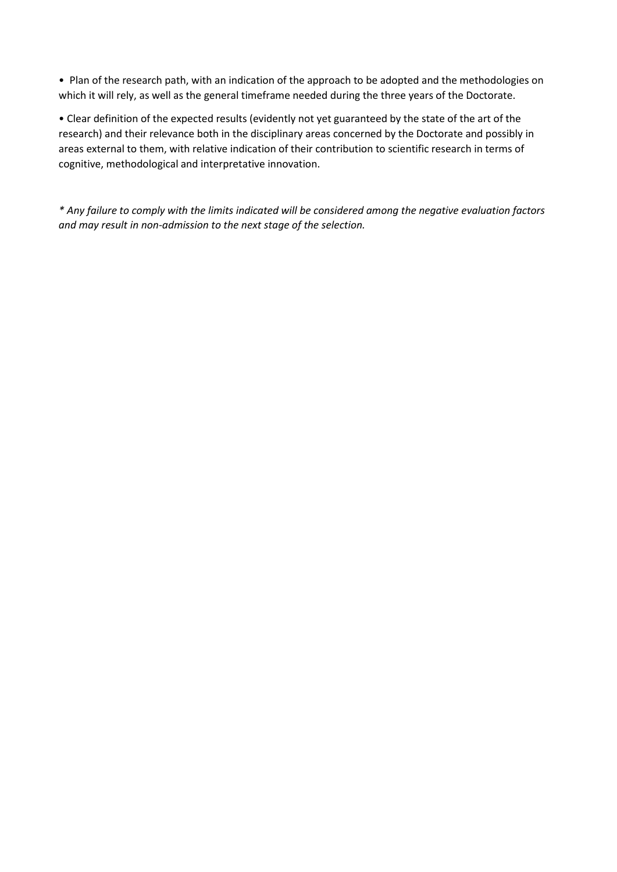• Plan of the research path, with an indication of the approach to be adopted and the methodologies on which it will rely, as well as the general timeframe needed during the three years of the Doctorate.

• Clear definition of the expected results (evidently not yet guaranteed by the state of the art of the research) and their relevance both in the disciplinary areas concerned by the Doctorate and possibly in areas external to them, with relative indication of their contribution to scientific research in terms of cognitive, methodological and interpretative innovation.

*\* Any failure to comply with the limits indicated will be considered among the negative evaluation factors and may result in non-admission to the next stage of the selection.*